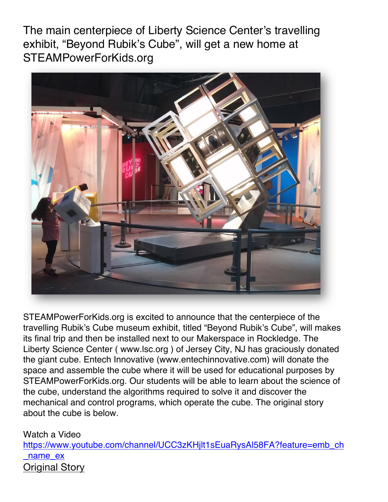The main centerpiece of Liberty Science Center's travelling exhibit, "Beyond Rubik's Cube", will get a new home at STEAMPowerForKids.org



STEAMPowerForKids.org is excited to announce that the centerpiece of the travelling Rubik's Cube museum exhibit, titled "Beyond Rubik's Cube", will makes its final trip and then be installed next to our Makerspace in Rockledge. The Liberty Science Center ( www.lsc.org ) of Jersey City, NJ has graciously donated the giant cube. Entech Innovative (www.entechinnovative.com) will donate the space and assemble the cube where it will be used for educational purposes by STEAMPowerForKids.org. Our students will be able to learn about the science of the cube, understand the algorithms required to solve it and discover the mechanical and control programs, which operate the cube. The original story about the cube is below.

Watch a Video

https://www.youtube.com/channel/UCC3zKHjlt1sEuaRysAl58FA?feature=emb\_ch \_name\_ex Original Story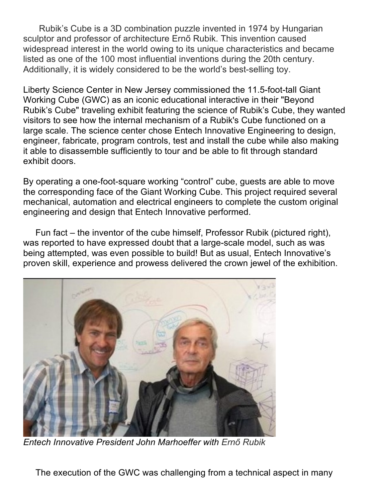Rubik's Cube is a 3D combination puzzle invented in 1974 by Hungarian sculptor and professor of architecture Ernő Rubik. This invention caused widespread interest in the world owing to its unique characteristics and became listed as one of the 100 most influential inventions during the 20th century. Additionally, it is widely considered to be the world's best-selling toy.

Liberty Science Center in New Jersey commissioned the 11.5-foot-tall Giant Working Cube (GWC) as an iconic educational interactive in their "Beyond Rubik's Cube" traveling exhibit featuring the science of Rubik's Cube, they wanted visitors to see how the internal mechanism of a Rubik's Cube functioned on a large scale. The science center chose Entech Innovative Engineering to design, engineer, fabricate, program controls, test and install the cube while also making it able to disassemble sufficiently to tour and be able to fit through standard exhibit doors.

By operating a one-foot-square working "control" cube, guests are able to move the corresponding face of the Giant Working Cube. This project required several mechanical, automation and electrical engineers to complete the custom original engineering and design that Entech Innovative performed.

 Fun fact – the inventor of the cube himself, Professor Rubik (pictured right), was reported to have expressed doubt that a large-scale model, such as was being attempted, was even possible to build! But as usual, Entech Innovative's proven skill, experience and prowess delivered the crown jewel of the exhibition.



*Entech Innovative President John Marhoeffer with Ernő Rubik*

The execution of the GWC was challenging from a technical aspect in many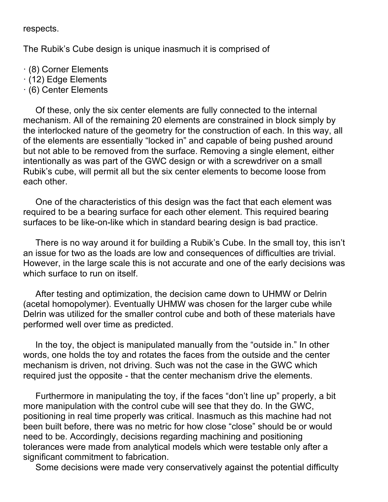respects.

The Rubik's Cube design is unique inasmuch it is comprised of

- · (8) Corner Elements
- · (12) Edge Elements
- · (6) Center Elements

 Of these, only the six center elements are fully connected to the internal mechanism. All of the remaining 20 elements are constrained in block simply by the interlocked nature of the geometry for the construction of each. In this way, all of the elements are essentially "locked in" and capable of being pushed around but not able to be removed from the surface. Removing a single element, either intentionally as was part of the GWC design or with a screwdriver on a small Rubik's cube, will permit all but the six center elements to become loose from each other.

 One of the characteristics of this design was the fact that each element was required to be a bearing surface for each other element. This required bearing surfaces to be like-on-like which in standard bearing design is bad practice.

 There is no way around it for building a Rubik's Cube. In the small toy, this isn't an issue for two as the loads are low and consequences of difficulties are trivial. However, in the large scale this is not accurate and one of the early decisions was which surface to run on itself.

 After testing and optimization, the decision came down to UHMW or Delrin (acetal homopolymer). Eventually UHMW was chosen for the larger cube while Delrin was utilized for the smaller control cube and both of these materials have performed well over time as predicted.

 In the toy, the object is manipulated manually from the "outside in." In other words, one holds the toy and rotates the faces from the outside and the center mechanism is driven, not driving. Such was not the case in the GWC which required just the opposite - that the center mechanism drive the elements.

 Furthermore in manipulating the toy, if the faces "don't line up" properly, a bit more manipulation with the control cube will see that they do. In the GWC, positioning in real time properly was critical. Inasmuch as this machine had not been built before, there was no metric for how close "close" should be or would need to be. Accordingly, decisions regarding machining and positioning tolerances were made from analytical models which were testable only after a significant commitment to fabrication.

Some decisions were made very conservatively against the potential difficulty